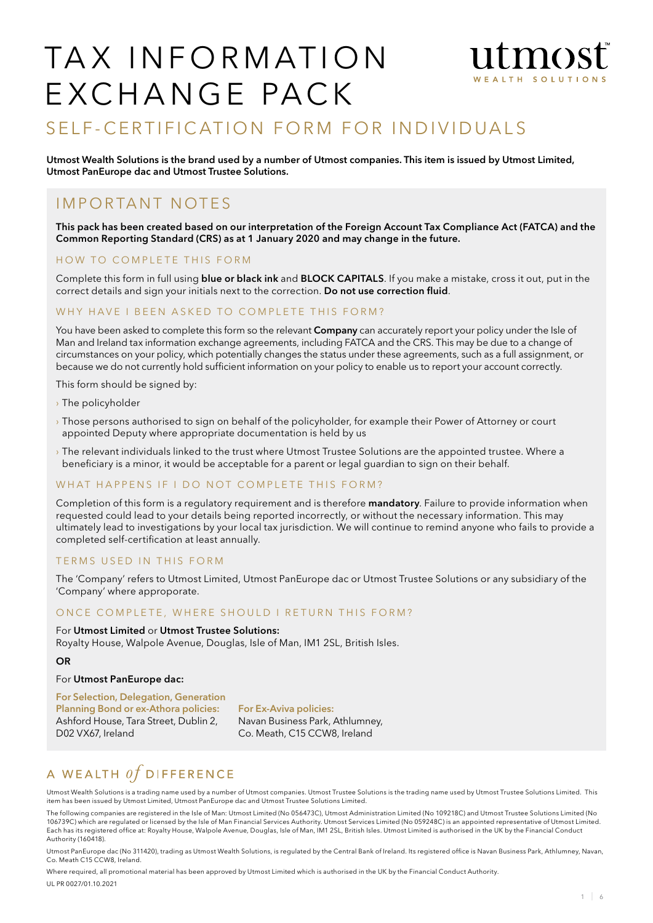## TAX INFORMATION  $m<sub>0</sub>$ TH SOLUTIC EXCHANGE PACK

# SELF-CERTIFICATION FORM FOR INDIVIDUALS

Utmost Wealth Solutions is the brand used by a number of Utmost companies. This item is issued by Utmost Limited, Utmost PanEurope dac and Utmost Trustee Solutions.

## I m p o r ta nt n otes

This pack has been created based on our interpretation of the Foreign Account Tax Compliance Act (FATCA) and the Common Reporting Standard (CRS) as at 1 January 2020 and may change in the future.

### HOW TO COMPLETE THIS FORM

Complete this form in full using blue or black ink and BLOCK CAPITALS. If you make a mistake, cross it out, put in the correct details and sign your initials next to the correction. Do not use correction fluid.

#### WHY HAVE I BEEN ASKED TO COMPLETE THIS FORM?

You have been asked to complete this form so the relevant Company can accurately report your policy under the Isle of Man and Ireland tax information exchange agreements, including FATCA and the CRS. This may be due to a change of circumstances on your policy, which potentially changes the status under these agreements, such as a full assignment, or because we do not currently hold sufficient information on your policy to enable us to report your account correctly.

This form should be signed by:

- › The policyholder
- › Those persons authorised to sign on behalf of the policyholder, for example their Power of Attorney or court appointed Deputy where appropriate documentation is held by us
- › The relevant individuals linked to the trust where Utmost Trustee Solutions are the appointed trustee. Where a beneficiary is a minor, it would be acceptable for a parent or legal guardian to sign on their behalf.

#### WHAT HAPPENS IF I DO NOT COMPLETE THIS FORM?

Completion of this form is a regulatory requirement and is therefore mandatory. Failure to provide information when requested could lead to your details being reported incorrectly, or without the necessary information. This may ultimately lead to investigations by your local tax jurisdiction. We will continue to remind anyone who fails to provide a completed self-certification at least annually.

#### TERMS USED IN THIS FORM

The 'Company' refers to Utmost Limited, Utmost PanEurope dac or Utmost Trustee Solutions or any subsidiary of the 'Company' where approporate.

#### ONCE COMPLETE, WHERE SHOULD I RETURN THIS FORM?

For Utmost Limited or Utmost Trustee Solutions: Royalty House, Walpole Avenue, Douglas, Isle of Man, IM1 2SL, British Isles.

#### OR

#### For Utmost PanEurope dac:

For Selection, Delegation, Generation Planning Bond or ex-Athora policies: Ashford House, Tara Street, Dublin 2, D02 VX67, Ireland

For Ex-Aviva policies: Navan Business Park, Athlumney, Co. Meath, C15 CCW8, Ireland

# A WEALTH  $of$  DIFFERENCE

Utmost Wealth Solutions is a trading name used by a number of Utmost companies. Utmost Trustee Solutions is the trading name used by Utmost Trustee Solutions Limited. This item has been issued by Utmost Limited, Utmost PanEurope dac and Utmost Trustee Solutions Limited.

The following companies are registered in the Isle of Man: Utmost Limited (No 056473C), Utmost Administration Limited (No 109218C) and Utmost Trustee Solutions Limited (No 106739C) which are regulated or licensed by the Isle of Man Financial Services Authority. Utmost Services Limited (No 059248C) is an appointed representative of Utmost Limited. Each has its registered office at: Royalty House, Walpole Avenue, Douglas, Isle of Man, IM1 2SL, British Isles. Utmost Limited is authorised in the UK by the Financial Conduct Authority (160418).

Utmost PanEurope dac (No 311420), trading as Utmost Wealth Solutions, is regulated by the Central Bank of Ireland. Its registered office is Navan Business Park, Athlumney, Navan, Co. Meath C15 CCW8, Ireland.

Where required, all promotional material has been approved by Utmost Limited which is authorised in the UK by the Financial Conduct Authority. UL PR 0027/01.10.2021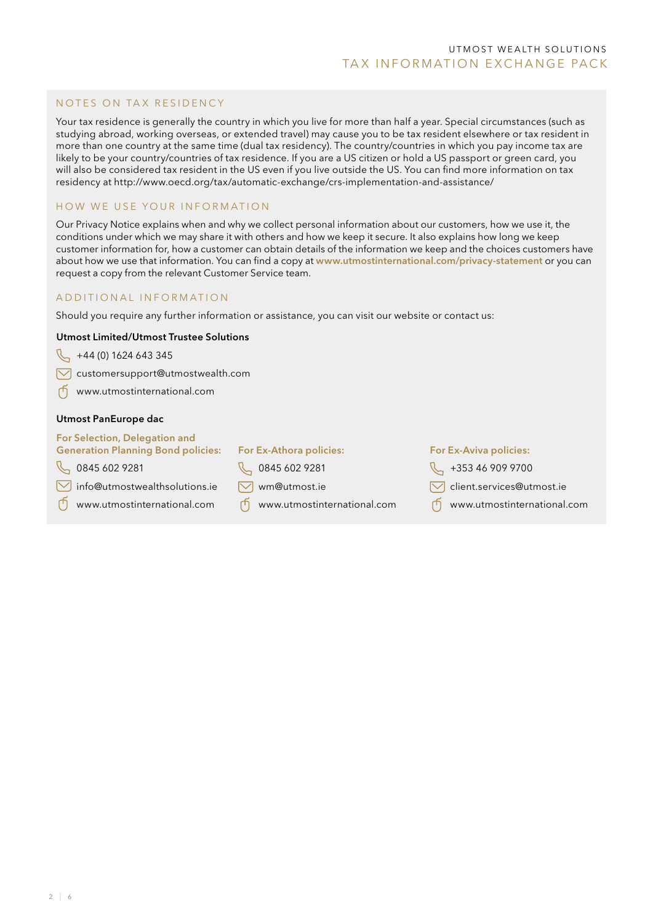#### NOTES ON TAX RESIDENCY

Your tax residence is generally the country in which you live for more than half a year. Special circumstances (such as studying abroad, working overseas, or extended travel) may cause you to be tax resident elsewhere or tax resident in more than one country at the same time (dual tax residency). The country/countries in which you pay income tax are likely to be your country/countries of tax residence. If you are a US citizen or hold a US passport or green card, you will also be considered tax resident in the US even if you live outside the US. You can find more information on tax residency at http://www.oecd.org/tax/automatic-exchange/crs-implementation-and-assistance/

#### HOW WE USE YOUR INFORMATION

Our Privacy Notice explains when and why we collect personal information about our customers, how we use it, the conditions under which we may share it with others and how we keep it secure. It also explains how long we keep customer information for, how a customer can obtain details of the information we keep and the choices customers have about how we use that information. You can find a copy at www.utmostinternational.com/privacy-statement or you can request a copy from the relevant Customer Service team.

#### ADD ITIONAL INFORMATION

Should you require any further information or assistance, you can visit our website or contact us:

#### Utmost Limited/Utmost Trustee Solutions

 $\downarrow$  +44 (0) 1624 643 345

 $\sqrt{\phantom{a}}$  customersupport@utmostwealth.com

www.utmostinternational.com

#### Utmost PanEurope dac

#### For Selection, Delegation and Generation Planning Bond policies:

- $\%$  0845 602 9281
- $\sqrt{\phantom{a}}$  info@utmostwealthsolutions.ie
- www.utmostinternational.com
- For Ex-Athora policies:
- Q 0845 602 9281
- $\nabla$  wm@utmost.ie
- www.utmostinternational.com

#### For Ex-Aviva policies:

- $\sqrt[3]{ }$  +353 46 909 9700
- $\sqrt{\phantom{a}}$  client.services@utmost.ie
- www.utmostinternational.com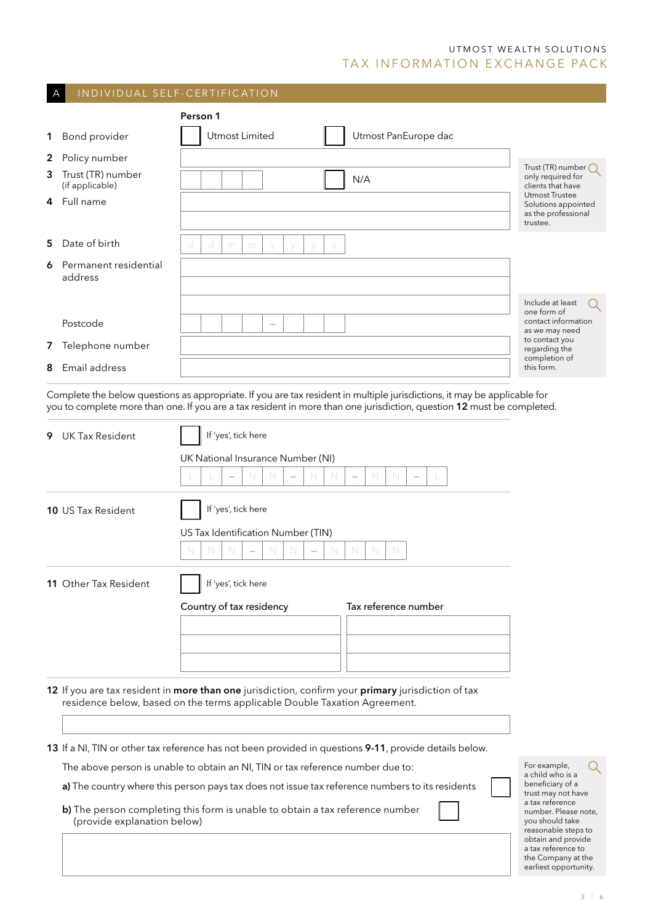## UTMOST WEALTH SOLUTIONS TAX INFORMATION EXCHANGE PACK

| A  |                                      | INDIVIDUAL SELF-CERTIFICATION                                                                                                                                                                                                                      |                                                                                                         |
|----|--------------------------------------|----------------------------------------------------------------------------------------------------------------------------------------------------------------------------------------------------------------------------------------------------|---------------------------------------------------------------------------------------------------------|
|    |                                      | Person 1                                                                                                                                                                                                                                           |                                                                                                         |
| 1  | Bond provider                        | Utmost Limited<br>Utmost PanEurope dac                                                                                                                                                                                                             |                                                                                                         |
| 2  | Policy number                        |                                                                                                                                                                                                                                                    |                                                                                                         |
| 3  | Trust (TR) number<br>(if applicable) | N/A                                                                                                                                                                                                                                                | Trust (TR) number $\bigcap$<br>only required for<br>clients that have                                   |
| 4  | Full name                            |                                                                                                                                                                                                                                                    | Utmost Trustee<br>Solutions appointed<br>as the professional<br>trustee.                                |
| 5  | Date of birth                        | d<br>d<br>m<br>m<br>$\vee$                                                                                                                                                                                                                         |                                                                                                         |
| 6  | Permanent residential<br>address     |                                                                                                                                                                                                                                                    |                                                                                                         |
|    |                                      |                                                                                                                                                                                                                                                    | Include at least<br>one form of                                                                         |
|    | Postcode                             |                                                                                                                                                                                                                                                    | contact information<br>as we may need                                                                   |
|    | 7 Telephone number                   |                                                                                                                                                                                                                                                    | to contact you<br>regarding the                                                                         |
| 8  | Email address                        |                                                                                                                                                                                                                                                    | completion of<br>this form.                                                                             |
|    |                                      | Complete the below questions as appropriate. If you are tax resident in multiple jurisdictions, it may be applicable for<br>you to complete more than one. If you are a tax resident in more than one jurisdiction, question 12 must be completed. |                                                                                                         |
| 9. | <b>UK Tax Resident</b>               | If 'yes', tick here                                                                                                                                                                                                                                |                                                                                                         |
|    |                                      | UK National Insurance Number (NI)                                                                                                                                                                                                                  |                                                                                                         |
|    |                                      | N<br>N<br>N<br>N<br>N<br>N<br>$\overline{\phantom{0}}$<br>$\overline{\phantom{0}}$                                                                                                                                                                 |                                                                                                         |
|    | <b>10 US Tax Resident</b>            |                                                                                                                                                                                                                                                    |                                                                                                         |
|    |                                      | US Tax Identification Number (TIN)                                                                                                                                                                                                                 |                                                                                                         |
|    |                                      | $\mathbb N$<br>N<br>N<br>N<br>N<br>N<br>N<br>N                                                                                                                                                                                                     |                                                                                                         |
|    | 11 Other Tax Resident                | If 'yes', tick here                                                                                                                                                                                                                                |                                                                                                         |
|    |                                      | Tax reference number<br>Country of tax residency                                                                                                                                                                                                   |                                                                                                         |
|    |                                      |                                                                                                                                                                                                                                                    |                                                                                                         |
|    |                                      |                                                                                                                                                                                                                                                    |                                                                                                         |
|    |                                      |                                                                                                                                                                                                                                                    |                                                                                                         |
|    |                                      | 12 If you are tax resident in more than one jurisdiction, confirm your primary jurisdiction of tax<br>residence below, based on the terms applicable Double Taxation Agreement.                                                                    |                                                                                                         |
|    |                                      |                                                                                                                                                                                                                                                    |                                                                                                         |
|    |                                      | 13 If a NI, TIN or other tax reference has not been provided in questions 9-11, provide details below.                                                                                                                                             |                                                                                                         |
|    |                                      | The above person is unable to obtain an NI, TIN or tax reference number due to:                                                                                                                                                                    | For example,<br>a child who is a<br>beneficiary of a                                                    |
|    | (provide explanation below)          | a) The country where this person pays tax does not issue tax reference numbers to its residents<br>b) The person completing this form is unable to obtain a tax reference number                                                                   | trust may not have<br>a tax reference<br>number. Please note,<br>you should take<br>reasonable steps to |
|    |                                      |                                                                                                                                                                                                                                                    | obtain and provide<br>a tax reference to<br>the Company at the<br>earliest opportunity.                 |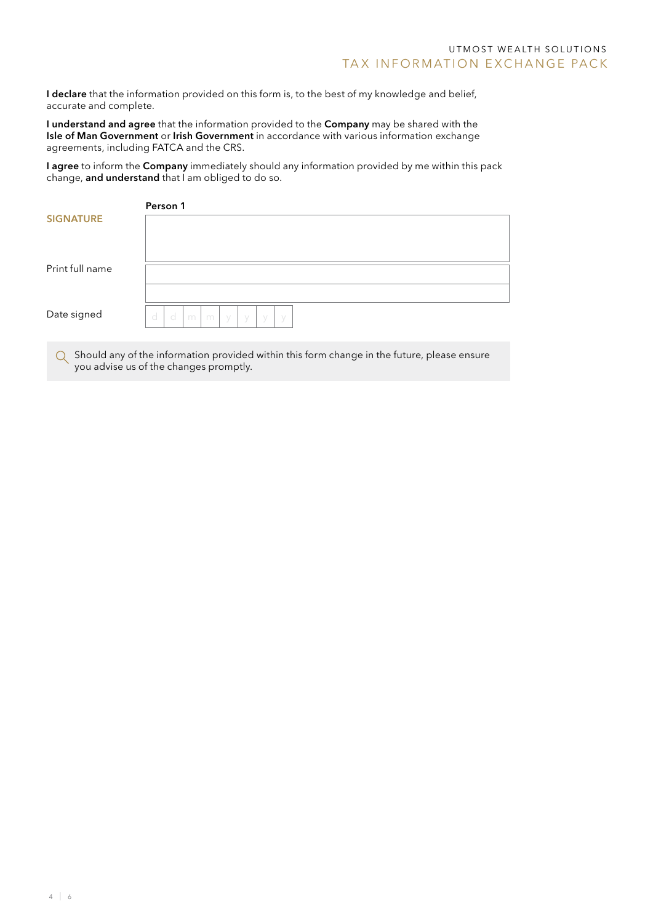I declare that the information provided on this form is, to the best of my knowledge and belief, accurate and complete.

I understand and agree that the information provided to the Company may be shared with the Isle of Man Government or Irish Government in accordance with various information exchange agreements, including FATCA and the CRS.

I agree to inform the Company immediately should any information provided by me within this pack change, and understand that I am obliged to do so.

|                  | Person 1                                 |
|------------------|------------------------------------------|
| <b>SIGNATURE</b> |                                          |
| Print full name  |                                          |
| Date signed      | d<br>d<br>m<br>m<br>y<br>- y<br>y<br>- y |
|                  |                                          |

 $\bigcirc$  Should any of the information provided within this form change in the future, please ensure you advise us of the changes promptly.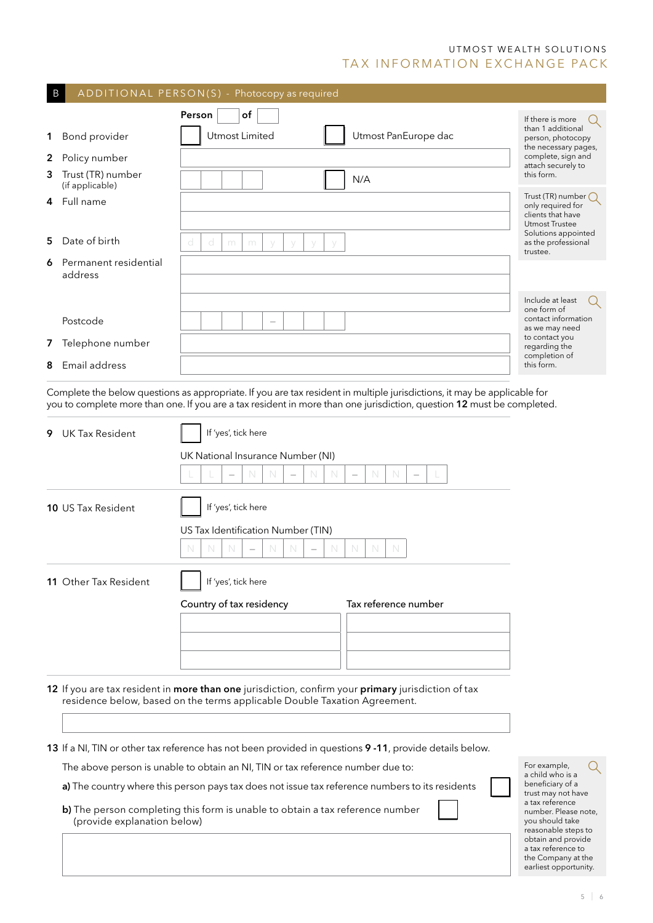## UTMOST WEALTH SOLUTIONS TAX INFORMATION EXCHANGE PACK

| $\mathsf B$ |                                                                                                                     | ADDITIONAL PERSON(S) - Photocopy as required                                                                                                                                    |                                                                                                                                                                                                                                                    |                                                        |  |
|-------------|---------------------------------------------------------------------------------------------------------------------|---------------------------------------------------------------------------------------------------------------------------------------------------------------------------------|----------------------------------------------------------------------------------------------------------------------------------------------------------------------------------------------------------------------------------------------------|--------------------------------------------------------|--|
|             |                                                                                                                     | of<br>Person                                                                                                                                                                    |                                                                                                                                                                                                                                                    | If there is more<br>than 1 additional                  |  |
|             | 1 Bond provider                                                                                                     | Utmost Limited                                                                                                                                                                  | Utmost PanEurope dac                                                                                                                                                                                                                               | person, photocopy<br>the necessary pages,              |  |
| 2           | Policy number                                                                                                       |                                                                                                                                                                                 |                                                                                                                                                                                                                                                    | complete, sign and<br>attach securely to               |  |
| 3           | Trust (TR) number<br>(if applicable)                                                                                |                                                                                                                                                                                 | N/A                                                                                                                                                                                                                                                | this form.                                             |  |
| 4           | Full name                                                                                                           |                                                                                                                                                                                 |                                                                                                                                                                                                                                                    | Trust (TR) number<br>only required for                 |  |
|             |                                                                                                                     |                                                                                                                                                                                 |                                                                                                                                                                                                                                                    | clients that have<br>Utmost Trustee                    |  |
| 5.          | Date of birth                                                                                                       | d<br>d<br>m<br>m                                                                                                                                                                |                                                                                                                                                                                                                                                    | Solutions appointed<br>as the professional<br>trustee. |  |
| 6           | Permanent residential<br>address                                                                                    |                                                                                                                                                                                 |                                                                                                                                                                                                                                                    |                                                        |  |
|             |                                                                                                                     |                                                                                                                                                                                 |                                                                                                                                                                                                                                                    |                                                        |  |
|             |                                                                                                                     |                                                                                                                                                                                 |                                                                                                                                                                                                                                                    | Include at least<br>one form of                        |  |
|             | Postcode                                                                                                            |                                                                                                                                                                                 |                                                                                                                                                                                                                                                    | contact information<br>as we may need                  |  |
|             | 7 Telephone number                                                                                                  |                                                                                                                                                                                 |                                                                                                                                                                                                                                                    | to contact you<br>regarding the                        |  |
|             | 8 Email address                                                                                                     |                                                                                                                                                                                 |                                                                                                                                                                                                                                                    | completion of<br>this form.                            |  |
|             |                                                                                                                     |                                                                                                                                                                                 |                                                                                                                                                                                                                                                    |                                                        |  |
|             |                                                                                                                     |                                                                                                                                                                                 | Complete the below questions as appropriate. If you are tax resident in multiple jurisdictions, it may be applicable for<br>you to complete more than one. If you are a tax resident in more than one jurisdiction, question 12 must be completed. |                                                        |  |
| 9           | <b>UK Tax Resident</b>                                                                                              | If 'yes', tick here                                                                                                                                                             |                                                                                                                                                                                                                                                    |                                                        |  |
|             |                                                                                                                     |                                                                                                                                                                                 |                                                                                                                                                                                                                                                    |                                                        |  |
|             |                                                                                                                     | UK National Insurance Number (NI)                                                                                                                                               |                                                                                                                                                                                                                                                    |                                                        |  |
|             |                                                                                                                     | N<br>N<br>N                                                                                                                                                                     | N<br>$\mathbb N$                                                                                                                                                                                                                                   |                                                        |  |
|             | 10 US Tax Resident                                                                                                  | If 'yes', tick here                                                                                                                                                             |                                                                                                                                                                                                                                                    |                                                        |  |
|             |                                                                                                                     | US Tax Identification Number (TIN)                                                                                                                                              |                                                                                                                                                                                                                                                    |                                                        |  |
|             |                                                                                                                     | N<br>N<br>N<br>N<br>N<br>N                                                                                                                                                      | N<br>N<br>N                                                                                                                                                                                                                                        |                                                        |  |
|             | <b>11</b> Other Iax Resident                                                                                        | If 'yes', tick here                                                                                                                                                             |                                                                                                                                                                                                                                                    |                                                        |  |
|             |                                                                                                                     | Country of tax residency                                                                                                                                                        | Tax reference number                                                                                                                                                                                                                               |                                                        |  |
|             |                                                                                                                     |                                                                                                                                                                                 |                                                                                                                                                                                                                                                    |                                                        |  |
|             |                                                                                                                     |                                                                                                                                                                                 |                                                                                                                                                                                                                                                    |                                                        |  |
|             |                                                                                                                     |                                                                                                                                                                                 |                                                                                                                                                                                                                                                    |                                                        |  |
|             |                                                                                                                     |                                                                                                                                                                                 |                                                                                                                                                                                                                                                    |                                                        |  |
|             |                                                                                                                     | 12 If you are tax resident in more than one jurisdiction, confirm your primary jurisdiction of tax<br>residence below, based on the terms applicable Double Taxation Agreement. |                                                                                                                                                                                                                                                    |                                                        |  |
|             |                                                                                                                     |                                                                                                                                                                                 |                                                                                                                                                                                                                                                    |                                                        |  |
|             |                                                                                                                     |                                                                                                                                                                                 |                                                                                                                                                                                                                                                    |                                                        |  |
|             |                                                                                                                     | 13 If a NI, TIN or other tax reference has not been provided in questions 9 -11, provide details below.                                                                         |                                                                                                                                                                                                                                                    |                                                        |  |
|             | For example,<br>The above person is unable to obtain an NI, TIN or tax reference number due to:<br>a child who is a |                                                                                                                                                                                 |                                                                                                                                                                                                                                                    |                                                        |  |
|             | a) The country where this person pays tax does not issue tax reference numbers to its residents                     | beneficiary of a<br>trust may not have                                                                                                                                          |                                                                                                                                                                                                                                                    |                                                        |  |
|             | b) The person completing this form is unable to obtain a tax reference number<br>(provide explanation below)        | a tax reference<br>number. Please note,<br>you should take                                                                                                                      |                                                                                                                                                                                                                                                    |                                                        |  |
|             |                                                                                                                     |                                                                                                                                                                                 |                                                                                                                                                                                                                                                    | reasonable steps to<br>obtain and provide              |  |
|             |                                                                                                                     |                                                                                                                                                                                 |                                                                                                                                                                                                                                                    | a tax reference to<br>the Company at the               |  |
|             |                                                                                                                     |                                                                                                                                                                                 |                                                                                                                                                                                                                                                    | earliest opportunity.                                  |  |